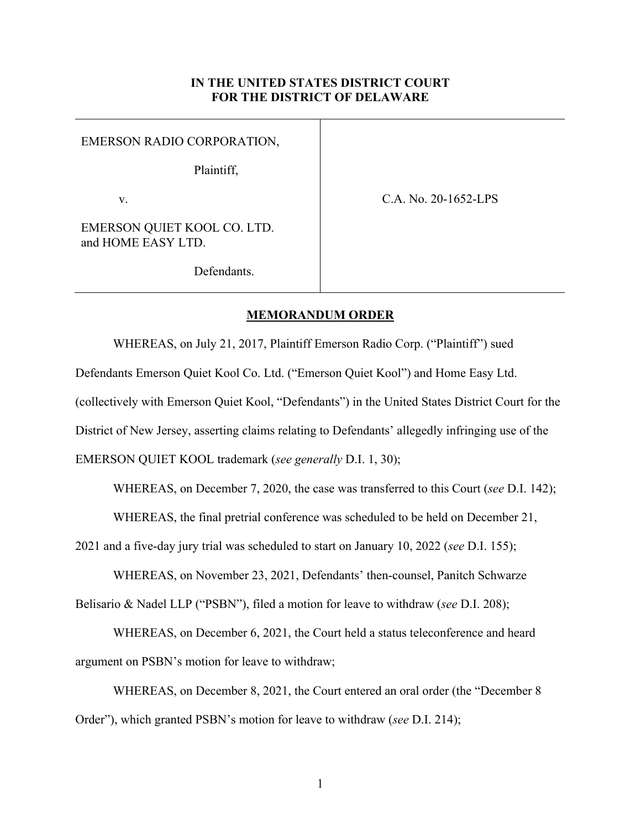## **IN THE UNITED STATES DISTRICT COURT FOR THE DISTRICT OF DELAWARE**

EMERSON RADIO CORPORATION,

Plaintiff,

v.

C.A. No. 20-1652-LPS

EMERSON QUIET KOOL CO. LTD. and HOME EASY LTD.

Defendants.

## **MEMORANDUM ORDER**

WHEREAS, on July 21, 2017, Plaintiff Emerson Radio Corp. ("Plaintiff") sued Defendants Emerson Quiet Kool Co. Ltd. ("Emerson Quiet Kool") and Home Easy Ltd. (collectively with Emerson Quiet Kool, "Defendants") in the United States District Court for the

District of New Jersey, asserting claims relating to Defendants' allegedly infringing use of the

EMERSON QUIET KOOL trademark (*see generally* D.I. 1, 30);

WHEREAS, on December 7, 2020, the case was transferred to this Court (*see* D.I. 142);

WHEREAS, the final pretrial conference was scheduled to be held on December 21,

2021 and a five-day jury trial was scheduled to start on January 10, 2022 (*see* D.I. 155);

WHEREAS, on November 23, 2021, Defendants' then-counsel, Panitch Schwarze Belisario & Nadel LLP ("PSBN"), filed a motion for leave to withdraw (*see* D.I. 208);

WHEREAS, on December 6, 2021, the Court held a status teleconference and heard argument on PSBN's motion for leave to withdraw;

WHEREAS, on December 8, 2021, the Court entered an oral order (the "December 8 Order"), which granted PSBN's motion for leave to withdraw (*see* D.I. 214);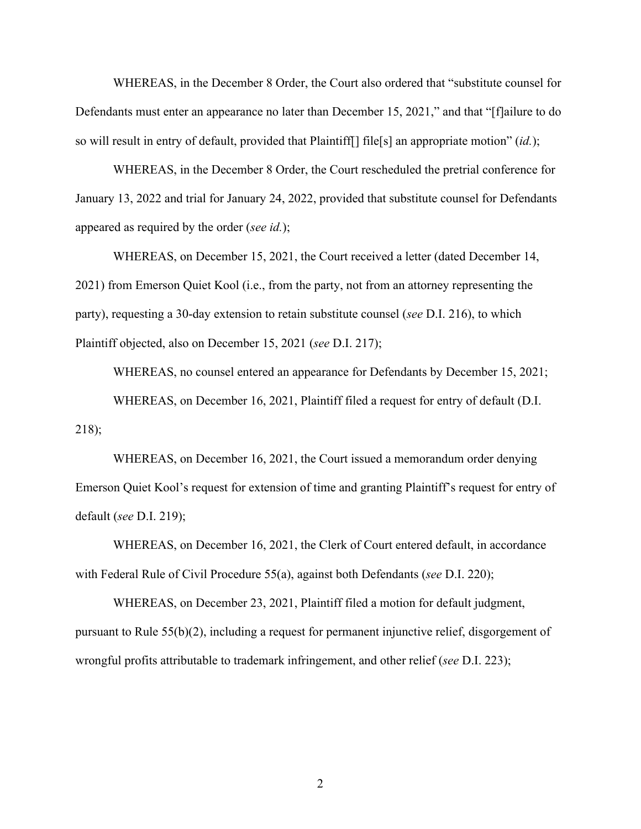WHEREAS, in the December 8 Order, the Court also ordered that "substitute counsel for Defendants must enter an appearance no later than December 15, 2021," and that "[f]ailure to do so will result in entry of default, provided that Plaintiff[] file[s] an appropriate motion" (*id.*);

WHEREAS, in the December 8 Order, the Court rescheduled the pretrial conference for January 13, 2022 and trial for January 24, 2022, provided that substitute counsel for Defendants appeared as required by the order (*see id.*);

 WHEREAS, on December 15, 2021, the Court received a letter (dated December 14, 2021) from Emerson Quiet Kool (i.e., from the party, not from an attorney representing the party), requesting a 30-day extension to retain substitute counsel (*see* D.I. 216), to which Plaintiff objected, also on December 15, 2021 (*see* D.I. 217);

WHEREAS, no counsel entered an appearance for Defendants by December 15, 2021; WHEREAS, on December 16, 2021, Plaintiff filed a request for entry of default (D.I. 218);

WHEREAS, on December 16, 2021, the Court issued a memorandum order denying Emerson Quiet Kool's request for extension of time and granting Plaintiff's request for entry of default (*see* D.I. 219);

WHEREAS, on December 16, 2021, the Clerk of Court entered default, in accordance with Federal Rule of Civil Procedure 55(a), against both Defendants (*see* D.I. 220);

WHEREAS, on December 23, 2021, Plaintiff filed a motion for default judgment, pursuant to Rule 55(b)(2), including a request for permanent injunctive relief, disgorgement of wrongful profits attributable to trademark infringement, and other relief (*see* D.I. 223);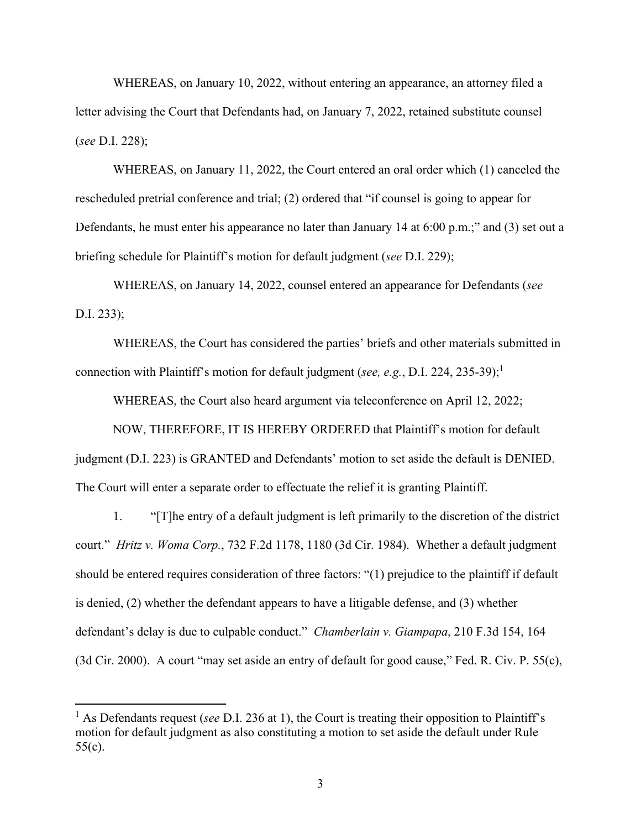WHEREAS, on January 10, 2022, without entering an appearance, an attorney filed a letter advising the Court that Defendants had, on January 7, 2022, retained substitute counsel (*see* D.I. 228);

WHEREAS, on January 11, 2022, the Court entered an oral order which (1) canceled the rescheduled pretrial conference and trial; (2) ordered that "if counsel is going to appear for Defendants, he must enter his appearance no later than January 14 at 6:00 p.m.;" and (3) set out a briefing schedule for Plaintiff's motion for default judgment (*see* D.I. 229);

WHEREAS, on January 14, 2022, counsel entered an appearance for Defendants (*see* D.I. 233);

 WHEREAS, the Court has considered the parties' briefs and other materials submitted in connection with Plaintiff's motion for default judgment (*see, e.g.*, D.I. 224, 235-39);<sup>1</sup>

WHEREAS, the Court also heard argument via teleconference on April 12, 2022;

 NOW, THEREFORE, IT IS HEREBY ORDERED that Plaintiff's motion for default judgment (D.I. 223) is GRANTED and Defendants' motion to set aside the default is DENIED. The Court will enter a separate order to effectuate the relief it is granting Plaintiff.

1. "[T]he entry of a default judgment is left primarily to the discretion of the district court." *Hritz v. Woma Corp.*, 732 F.2d 1178, 1180 (3d Cir. 1984). Whether a default judgment should be entered requires consideration of three factors: "(1) prejudice to the plaintiff if default is denied, (2) whether the defendant appears to have a litigable defense, and (3) whether defendant's delay is due to culpable conduct." *Chamberlain v. Giampapa*, 210 F.3d 154, 164 (3d Cir. 2000). A court "may set aside an entry of default for good cause," Fed. R. Civ. P. 55(c),

<sup>&</sup>lt;sup>1</sup> As Defendants request (*see* D.I. 236 at 1), the Court is treating their opposition to Plaintiff's motion for default judgment as also constituting a motion to set aside the default under Rule 55(c).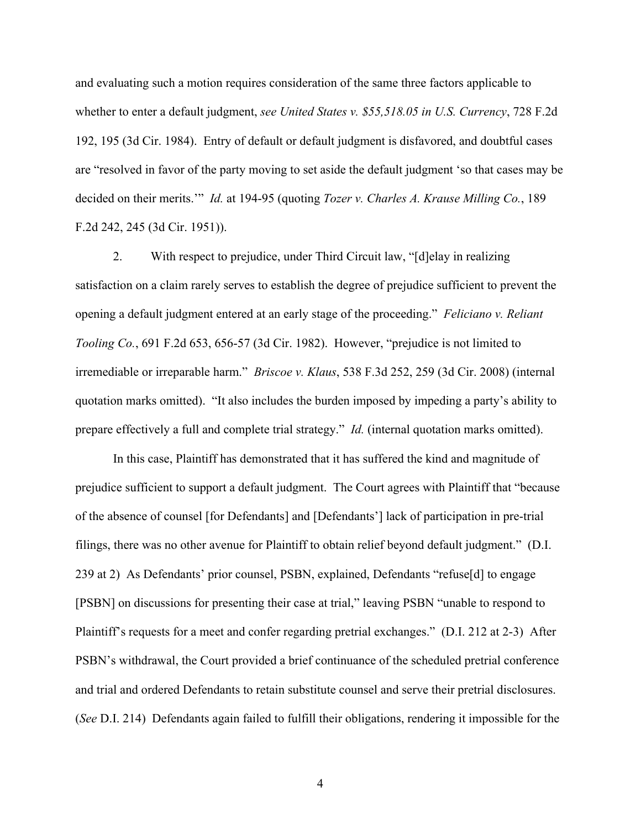and evaluating such a motion requires consideration of the same three factors applicable to whether to enter a default judgment, *see United States v. \$55,518.05 in U.S. Currency*, 728 F.2d 192, 195 (3d Cir. 1984). Entry of default or default judgment is disfavored, and doubtful cases are "resolved in favor of the party moving to set aside the default judgment 'so that cases may be decided on their merits.'" *Id.* at 194-95 (quoting *Tozer v. Charles A. Krause Milling Co.*, 189 F.2d 242, 245 (3d Cir. 1951)).

2. With respect to prejudice, under Third Circuit law, "[d]elay in realizing satisfaction on a claim rarely serves to establish the degree of prejudice sufficient to prevent the opening a default judgment entered at an early stage of the proceeding." *Feliciano v. Reliant Tooling Co.*, 691 F.2d 653, 656-57 (3d Cir. 1982). However, "prejudice is not limited to irremediable or irreparable harm." *Briscoe v. Klaus*, 538 F.3d 252, 259 (3d Cir. 2008) (internal quotation marks omitted). "It also includes the burden imposed by impeding a party's ability to prepare effectively a full and complete trial strategy." *Id.* (internal quotation marks omitted).

In this case, Plaintiff has demonstrated that it has suffered the kind and magnitude of prejudice sufficient to support a default judgment. The Court agrees with Plaintiff that "because of the absence of counsel [for Defendants] and [Defendants'] lack of participation in pre-trial filings, there was no other avenue for Plaintiff to obtain relief beyond default judgment." (D.I. 239 at 2) As Defendants' prior counsel, PSBN, explained, Defendants "refuse[d] to engage [PSBN] on discussions for presenting their case at trial," leaving PSBN "unable to respond to Plaintiff's requests for a meet and confer regarding pretrial exchanges." (D.I. 212 at 2-3) After PSBN's withdrawal, the Court provided a brief continuance of the scheduled pretrial conference and trial and ordered Defendants to retain substitute counsel and serve their pretrial disclosures. (*See* D.I. 214) Defendants again failed to fulfill their obligations, rendering it impossible for the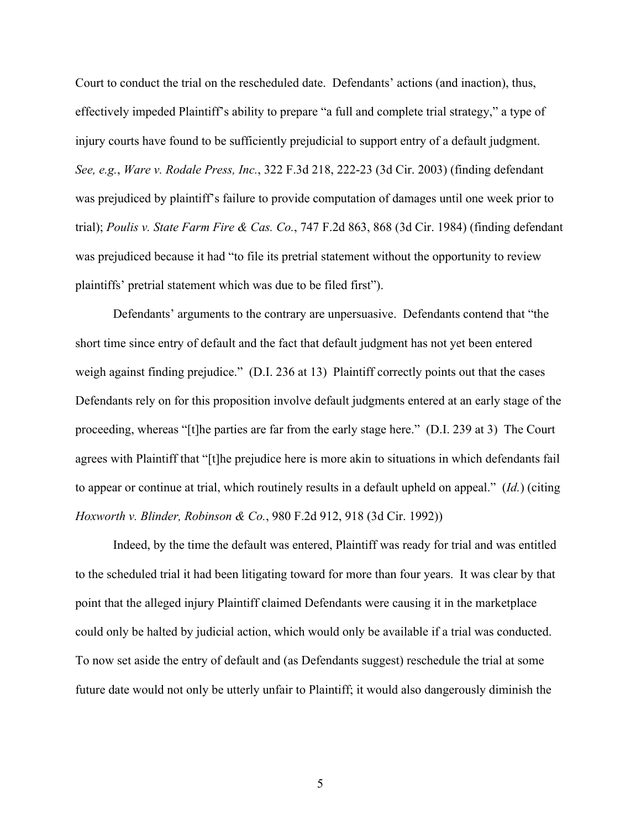Court to conduct the trial on the rescheduled date. Defendants' actions (and inaction), thus, effectively impeded Plaintiff's ability to prepare "a full and complete trial strategy," a type of injury courts have found to be sufficiently prejudicial to support entry of a default judgment. *See, e.g.*, *Ware v. Rodale Press, Inc.*, 322 F.3d 218, 222-23 (3d Cir. 2003) (finding defendant was prejudiced by plaintiff's failure to provide computation of damages until one week prior to trial); *Poulis v. State Farm Fire & Cas. Co.*, 747 F.2d 863, 868 (3d Cir. 1984) (finding defendant was prejudiced because it had "to file its pretrial statement without the opportunity to review plaintiffs' pretrial statement which was due to be filed first").

Defendants' arguments to the contrary are unpersuasive. Defendants contend that "the short time since entry of default and the fact that default judgment has not yet been entered weigh against finding prejudice." (D.I. 236 at 13) Plaintiff correctly points out that the cases Defendants rely on for this proposition involve default judgments entered at an early stage of the proceeding, whereas "[t]he parties are far from the early stage here." (D.I. 239 at 3) The Court agrees with Plaintiff that "[t]he prejudice here is more akin to situations in which defendants fail to appear or continue at trial, which routinely results in a default upheld on appeal." (*Id.*) (citing *Hoxworth v. Blinder, Robinson & Co.*, 980 F.2d 912, 918 (3d Cir. 1992))

Indeed, by the time the default was entered, Plaintiff was ready for trial and was entitled to the scheduled trial it had been litigating toward for more than four years. It was clear by that point that the alleged injury Plaintiff claimed Defendants were causing it in the marketplace could only be halted by judicial action, which would only be available if a trial was conducted. To now set aside the entry of default and (as Defendants suggest) reschedule the trial at some future date would not only be utterly unfair to Plaintiff; it would also dangerously diminish the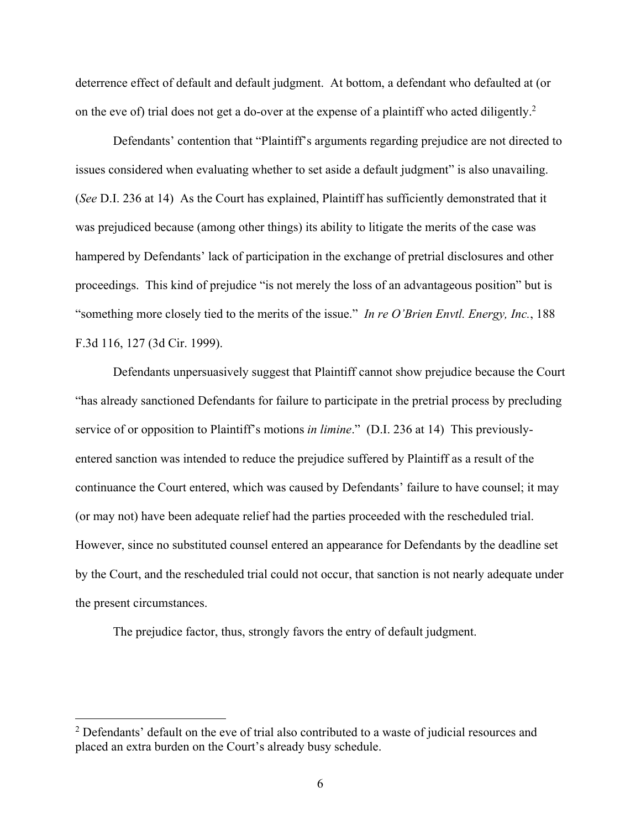deterrence effect of default and default judgment. At bottom, a defendant who defaulted at (or on the eve of) trial does not get a do-over at the expense of a plaintiff who acted diligently.<sup>2</sup>

Defendants' contention that "Plaintiff's arguments regarding prejudice are not directed to issues considered when evaluating whether to set aside a default judgment" is also unavailing. (*See* D.I. 236 at 14) As the Court has explained, Plaintiff has sufficiently demonstrated that it was prejudiced because (among other things) its ability to litigate the merits of the case was hampered by Defendants' lack of participation in the exchange of pretrial disclosures and other proceedings. This kind of prejudice "is not merely the loss of an advantageous position" but is "something more closely tied to the merits of the issue." *In re O'Brien Envtl. Energy, Inc.*, 188 F.3d 116, 127 (3d Cir. 1999).

Defendants unpersuasively suggest that Plaintiff cannot show prejudice because the Court "has already sanctioned Defendants for failure to participate in the pretrial process by precluding service of or opposition to Plaintiff's motions *in limine*." (D.I. 236 at 14) This previouslyentered sanction was intended to reduce the prejudice suffered by Plaintiff as a result of the continuance the Court entered, which was caused by Defendants' failure to have counsel; it may (or may not) have been adequate relief had the parties proceeded with the rescheduled trial. However, since no substituted counsel entered an appearance for Defendants by the deadline set by the Court, and the rescheduled trial could not occur, that sanction is not nearly adequate under the present circumstances.

The prejudice factor, thus, strongly favors the entry of default judgment.

 $2$  Defendants' default on the eve of trial also contributed to a waste of judicial resources and placed an extra burden on the Court's already busy schedule.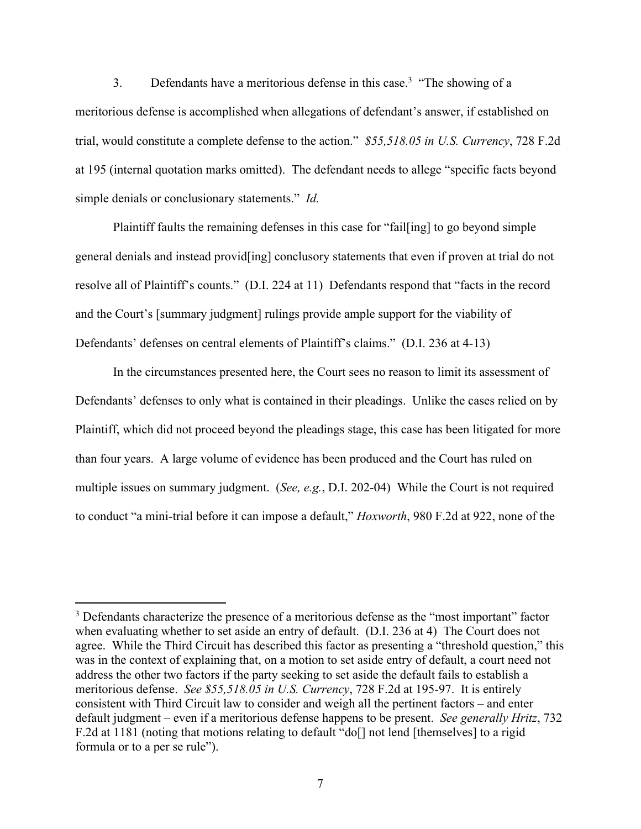3. Defendants have a meritorious defense in this case.<sup>3</sup> "The showing of a meritorious defense is accomplished when allegations of defendant's answer, if established on trial, would constitute a complete defense to the action." *\$55,518.05 in U.S. Currency*, 728 F.2d at 195 (internal quotation marks omitted). The defendant needs to allege "specific facts beyond simple denials or conclusionary statements." *Id.*

Plaintiff faults the remaining defenses in this case for "fail[ing] to go beyond simple general denials and instead provid[ing] conclusory statements that even if proven at trial do not resolve all of Plaintiff's counts." (D.I. 224 at 11) Defendants respond that "facts in the record and the Court's [summary judgment] rulings provide ample support for the viability of Defendants' defenses on central elements of Plaintiff's claims." (D.I. 236 at 4-13)

In the circumstances presented here, the Court sees no reason to limit its assessment of Defendants' defenses to only what is contained in their pleadings. Unlike the cases relied on by Plaintiff, which did not proceed beyond the pleadings stage, this case has been litigated for more than four years. A large volume of evidence has been produced and the Court has ruled on multiple issues on summary judgment. (*See, e.g.*, D.I. 202-04) While the Court is not required to conduct "a mini-trial before it can impose a default," *Hoxworth*, 980 F.2d at 922, none of the

 $3$  Defendants characterize the presence of a meritorious defense as the "most important" factor when evaluating whether to set aside an entry of default. (D.I. 236 at 4) The Court does not agree. While the Third Circuit has described this factor as presenting a "threshold question," this was in the context of explaining that, on a motion to set aside entry of default, a court need not address the other two factors if the party seeking to set aside the default fails to establish a meritorious defense. *See \$55,518.05 in U.S. Currency*, 728 F.2d at 195-97. It is entirely consistent with Third Circuit law to consider and weigh all the pertinent factors – and enter default judgment – even if a meritorious defense happens to be present. *See generally Hritz*, 732 F.2d at 1181 (noting that motions relating to default "do<sup>[]</sup> not lend [themselves] to a rigid formula or to a per se rule").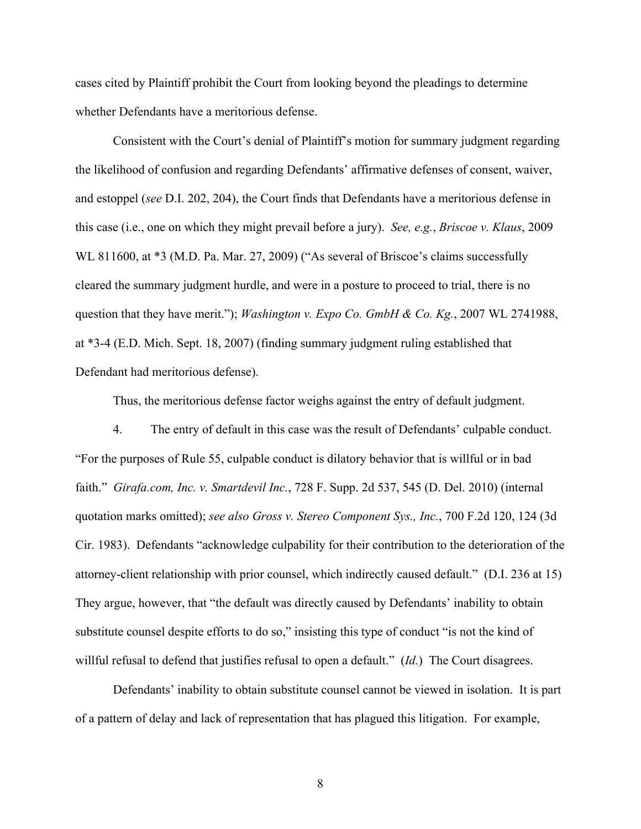cases cited by Plaintiff prohibit the Court from looking beyond the pleadings to determine whether Defendants have a meritorious defense.

Consistent with the Court's denial of Plaintiff's motion for summary judgment regarding the likelihood of confusion and regarding Defendants' affirmative defenses of consent, waiver, and estoppel (*see* D.I. 202, 204), the Court finds that Defendants have a meritorious defense in this case (i.e., one on which they might prevail before a jury). *See, e.g.*, *Briscoe v. Klaus*, 2009 WL 811600, at \*3 (M.D. Pa. Mar. 27, 2009) ("As several of Briscoe's claims successfully cleared the summary judgment hurdle, and were in a posture to proceed to trial, there is no question that they have merit."); *Washington v. Expo Co. GmbH & Co. Kg.*, 2007 WL 2741988, at \*3-4 (E.D. Mich. Sept. 18, 2007) (finding summary judgment ruling established that Defendant had meritorious defense).

Thus, the meritorious defense factor weighs against the entry of default judgment.

4. The entry of default in this case was the result of Defendants' culpable conduct. "For the purposes of Rule 55, culpable conduct is dilatory behavior that is willful or in bad faith." *Girafa.com, Inc. v. Smartdevil Inc.*, 728 F. Supp. 2d 537, 545 (D. Del. 2010) (internal quotation marks omitted); *see also Gross v. Stereo Component Sys., Inc.*, 700 F.2d 120, 124 (3d Cir. 1983). Defendants "acknowledge culpability for their contribution to the deterioration of the attorney-client relationship with prior counsel, which indirectly caused default." (D.I. 236 at 15) They argue, however, that "the default was directly caused by Defendants' inability to obtain substitute counsel despite efforts to do so," insisting this type of conduct "is not the kind of willful refusal to defend that justifies refusal to open a default." (*Id.*) The Court disagrees.

Defendants' inability to obtain substitute counsel cannot be viewed in isolation. It is part of a pattern of delay and lack of representation that has plagued this litigation. For example,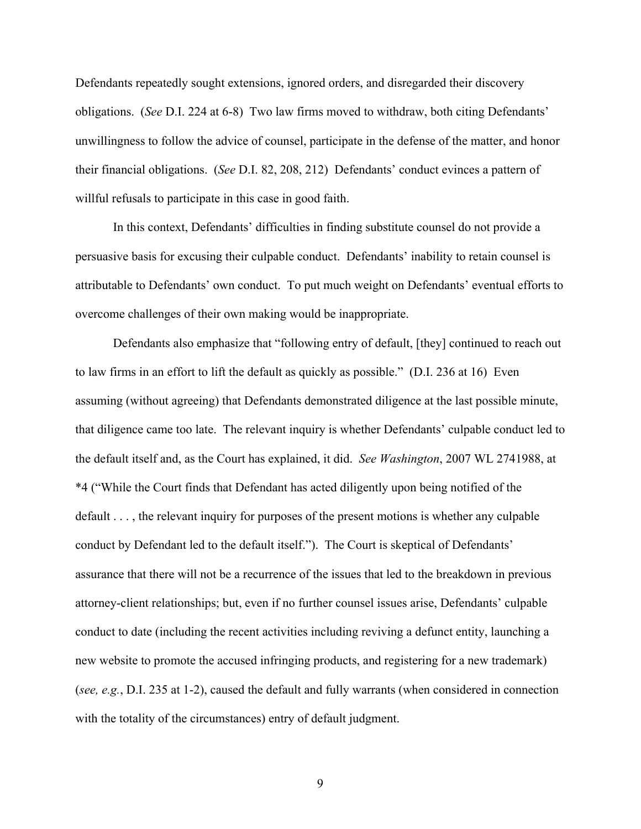Defendants repeatedly sought extensions, ignored orders, and disregarded their discovery obligations. (*See* D.I. 224 at 6-8) Two law firms moved to withdraw, both citing Defendants' unwillingness to follow the advice of counsel, participate in the defense of the matter, and honor their financial obligations. (*See* D.I. 82, 208, 212) Defendants' conduct evinces a pattern of willful refusals to participate in this case in good faith.

In this context, Defendants' difficulties in finding substitute counsel do not provide a persuasive basis for excusing their culpable conduct. Defendants' inability to retain counsel is attributable to Defendants' own conduct. To put much weight on Defendants' eventual efforts to overcome challenges of their own making would be inappropriate.

Defendants also emphasize that "following entry of default, [they] continued to reach out to law firms in an effort to lift the default as quickly as possible." (D.I. 236 at 16) Even assuming (without agreeing) that Defendants demonstrated diligence at the last possible minute, that diligence came too late. The relevant inquiry is whether Defendants' culpable conduct led to the default itself and, as the Court has explained, it did. *See Washington*, 2007 WL 2741988, at \*4 ("While the Court finds that Defendant has acted diligently upon being notified of the default . . . , the relevant inquiry for purposes of the present motions is whether any culpable conduct by Defendant led to the default itself."). The Court is skeptical of Defendants' assurance that there will not be a recurrence of the issues that led to the breakdown in previous attorney-client relationships; but, even if no further counsel issues arise, Defendants' culpable conduct to date (including the recent activities including reviving a defunct entity, launching a new website to promote the accused infringing products, and registering for a new trademark) (*see, e.g.*, D.I. 235 at 1-2), caused the default and fully warrants (when considered in connection with the totality of the circumstances) entry of default judgment.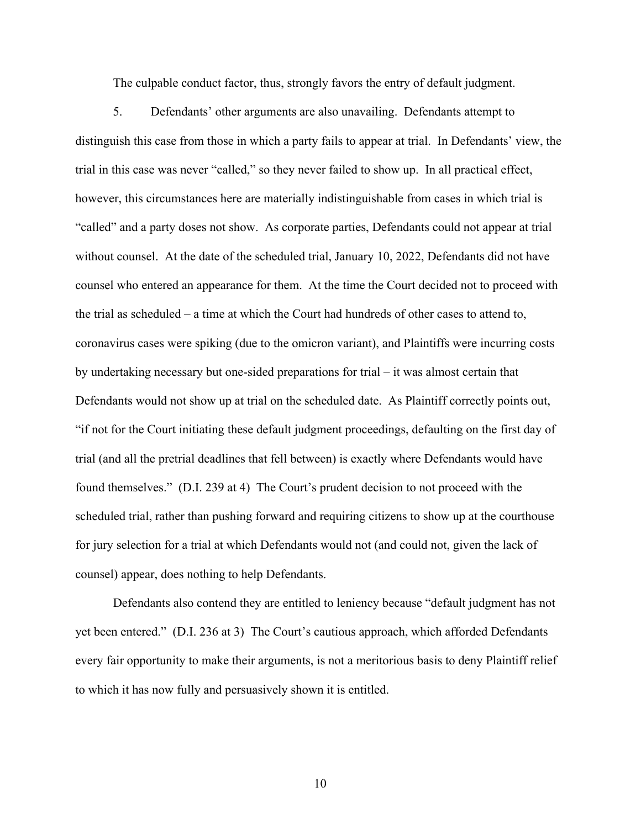The culpable conduct factor, thus, strongly favors the entry of default judgment.

5. Defendants' other arguments are also unavailing. Defendants attempt to distinguish this case from those in which a party fails to appear at trial. In Defendants' view, the trial in this case was never "called," so they never failed to show up. In all practical effect, however, this circumstances here are materially indistinguishable from cases in which trial is "called" and a party doses not show. As corporate parties, Defendants could not appear at trial without counsel. At the date of the scheduled trial, January 10, 2022, Defendants did not have counsel who entered an appearance for them. At the time the Court decided not to proceed with the trial as scheduled – a time at which the Court had hundreds of other cases to attend to, coronavirus cases were spiking (due to the omicron variant), and Plaintiffs were incurring costs by undertaking necessary but one-sided preparations for trial – it was almost certain that Defendants would not show up at trial on the scheduled date. As Plaintiff correctly points out, "if not for the Court initiating these default judgment proceedings, defaulting on the first day of trial (and all the pretrial deadlines that fell between) is exactly where Defendants would have found themselves." (D.I. 239 at 4) The Court's prudent decision to not proceed with the scheduled trial, rather than pushing forward and requiring citizens to show up at the courthouse for jury selection for a trial at which Defendants would not (and could not, given the lack of counsel) appear, does nothing to help Defendants.

Defendants also contend they are entitled to leniency because "default judgment has not yet been entered." (D.I. 236 at 3) The Court's cautious approach, which afforded Defendants every fair opportunity to make their arguments, is not a meritorious basis to deny Plaintiff relief to which it has now fully and persuasively shown it is entitled.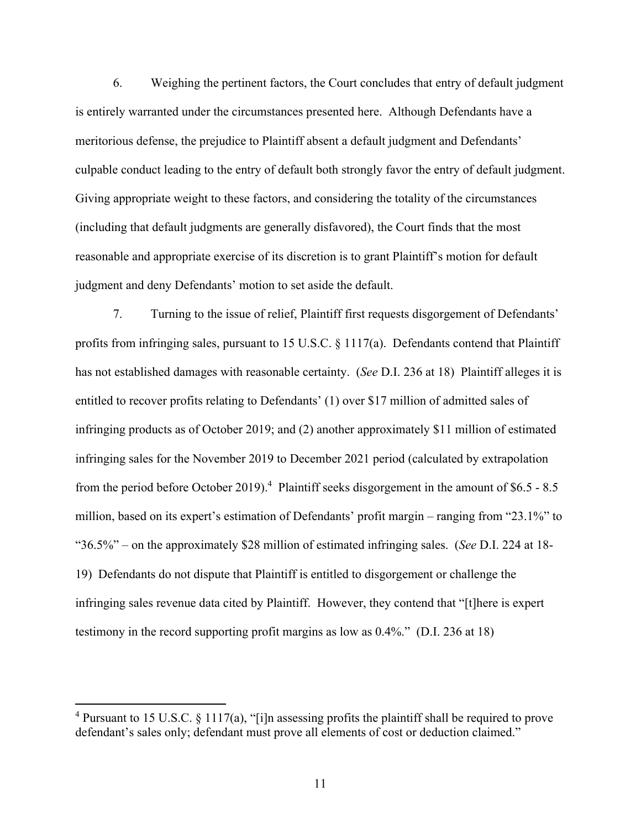6. Weighing the pertinent factors, the Court concludes that entry of default judgment is entirely warranted under the circumstances presented here. Although Defendants have a meritorious defense, the prejudice to Plaintiff absent a default judgment and Defendants' culpable conduct leading to the entry of default both strongly favor the entry of default judgment. Giving appropriate weight to these factors, and considering the totality of the circumstances (including that default judgments are generally disfavored), the Court finds that the most reasonable and appropriate exercise of its discretion is to grant Plaintiff's motion for default judgment and deny Defendants' motion to set aside the default.

7. Turning to the issue of relief, Plaintiff first requests disgorgement of Defendants' profits from infringing sales, pursuant to 15 U.S.C. § 1117(a). Defendants contend that Plaintiff has not established damages with reasonable certainty. (*See* D.I. 236 at 18) Plaintiff alleges it is entitled to recover profits relating to Defendants' (1) over \$17 million of admitted sales of infringing products as of October 2019; and (2) another approximately \$11 million of estimated infringing sales for the November 2019 to December 2021 period (calculated by extrapolation from the period before October 2019).<sup>4</sup> Plaintiff seeks disgorgement in the amount of \$6.5 - 8.5 million, based on its expert's estimation of Defendants' profit margin – ranging from "23.1%" to "36.5%" – on the approximately \$28 million of estimated infringing sales. (*See* D.I. 224 at 18- 19) Defendants do not dispute that Plaintiff is entitled to disgorgement or challenge the infringing sales revenue data cited by Plaintiff. However, they contend that "[t]here is expert testimony in the record supporting profit margins as low as 0.4%." (D.I. 236 at 18)

<sup>&</sup>lt;sup>4</sup> Pursuant to 15 U.S.C. § 1117(a), "[i]n assessing profits the plaintiff shall be required to prove defendant's sales only; defendant must prove all elements of cost or deduction claimed."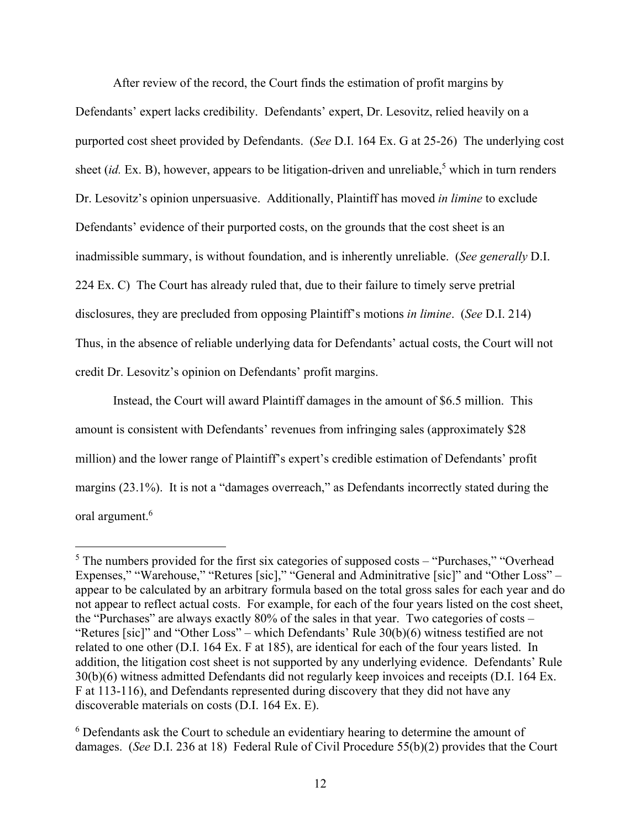After review of the record, the Court finds the estimation of profit margins by

Defendants' expert lacks credibility. Defendants' expert, Dr. Lesovitz, relied heavily on a purported cost sheet provided by Defendants. (*See* D.I. 164 Ex. G at 25-26) The underlying cost sheet (*id.* Ex. B), however, appears to be litigation-driven and unreliable,<sup>5</sup> which in turn renders Dr. Lesovitz's opinion unpersuasive. Additionally, Plaintiff has moved *in limine* to exclude Defendants' evidence of their purported costs, on the grounds that the cost sheet is an inadmissible summary, is without foundation, and is inherently unreliable. (*See generally* D.I. 224 Ex. C) The Court has already ruled that, due to their failure to timely serve pretrial disclosures, they are precluded from opposing Plaintiff's motions *in limine*. (*See* D.I. 214) Thus, in the absence of reliable underlying data for Defendants' actual costs, the Court will not credit Dr. Lesovitz's opinion on Defendants' profit margins.

Instead, the Court will award Plaintiff damages in the amount of \$6.5 million. This amount is consistent with Defendants' revenues from infringing sales (approximately \$28 million) and the lower range of Plaintiff's expert's credible estimation of Defendants' profit margins (23.1%). It is not a "damages overreach," as Defendants incorrectly stated during the oral argument.<sup>6</sup>

 $<sup>5</sup>$  The numbers provided for the first six categories of supposed costs – "Purchases," "Overhead</sup> Expenses," "Warehouse," "Retures [sic]," "General and Adminitrative [sic]" and "Other Loss" – appear to be calculated by an arbitrary formula based on the total gross sales for each year and do not appear to reflect actual costs. For example, for each of the four years listed on the cost sheet, the "Purchases" are always exactly 80% of the sales in that year. Two categories of costs – "Retures [sic]" and "Other Loss" – which Defendants' Rule 30(b)(6) witness testified are not related to one other (D.I. 164 Ex. F at 185), are identical for each of the four years listed. In addition, the litigation cost sheet is not supported by any underlying evidence. Defendants' Rule 30(b)(6) witness admitted Defendants did not regularly keep invoices and receipts (D.I. 164 Ex. F at 113-116), and Defendants represented during discovery that they did not have any discoverable materials on costs (D.I. 164 Ex. E).

<sup>&</sup>lt;sup>6</sup> Defendants ask the Court to schedule an evidentiary hearing to determine the amount of damages. (*See* D.I. 236 at 18) Federal Rule of Civil Procedure 55(b)(2) provides that the Court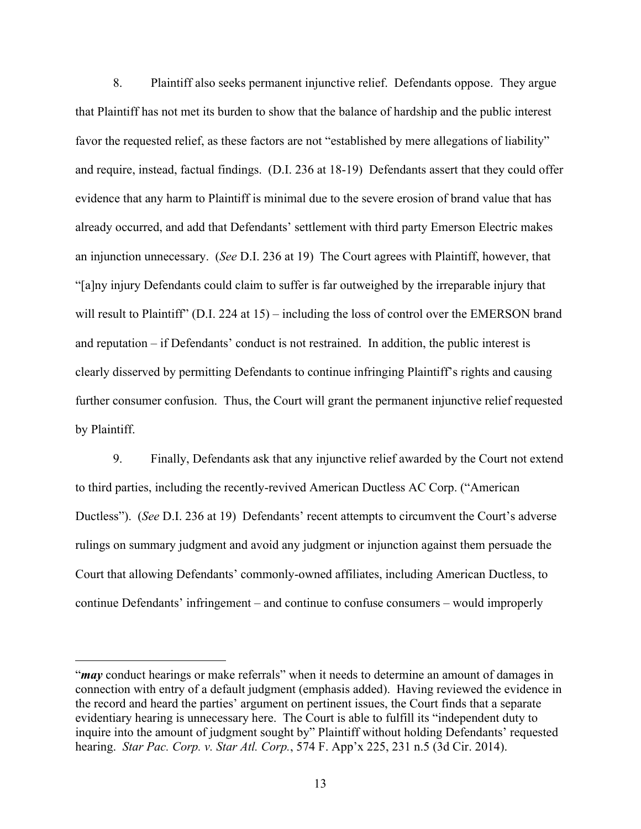8. Plaintiff also seeks permanent injunctive relief. Defendants oppose. They argue that Plaintiff has not met its burden to show that the balance of hardship and the public interest favor the requested relief, as these factors are not "established by mere allegations of liability" and require, instead, factual findings. (D.I. 236 at 18-19) Defendants assert that they could offer evidence that any harm to Plaintiff is minimal due to the severe erosion of brand value that has already occurred, and add that Defendants' settlement with third party Emerson Electric makes an injunction unnecessary. (*See* D.I. 236 at 19) The Court agrees with Plaintiff, however, that "[a]ny injury Defendants could claim to suffer is far outweighed by the irreparable injury that will result to Plaintiff" (D.I. 224 at 15) – including the loss of control over the EMERSON brand and reputation – if Defendants' conduct is not restrained. In addition, the public interest is clearly disserved by permitting Defendants to continue infringing Plaintiff's rights and causing further consumer confusion. Thus, the Court will grant the permanent injunctive relief requested by Plaintiff.

9. Finally, Defendants ask that any injunctive relief awarded by the Court not extend to third parties, including the recently-revived American Ductless AC Corp. ("American Ductless"). (*See* D.I. 236 at 19) Defendants' recent attempts to circumvent the Court's adverse rulings on summary judgment and avoid any judgment or injunction against them persuade the Court that allowing Defendants' commonly-owned affiliates, including American Ductless, to continue Defendants' infringement – and continue to confuse consumers – would improperly

<sup>&</sup>quot;*may* conduct hearings or make referrals" when it needs to determine an amount of damages in connection with entry of a default judgment (emphasis added). Having reviewed the evidence in the record and heard the parties' argument on pertinent issues, the Court finds that a separate evidentiary hearing is unnecessary here. The Court is able to fulfill its "independent duty to inquire into the amount of judgment sought by" Plaintiff without holding Defendants' requested hearing. *Star Pac. Corp. v. Star Atl. Corp.*, 574 F. App'x 225, 231 n.5 (3d Cir. 2014).